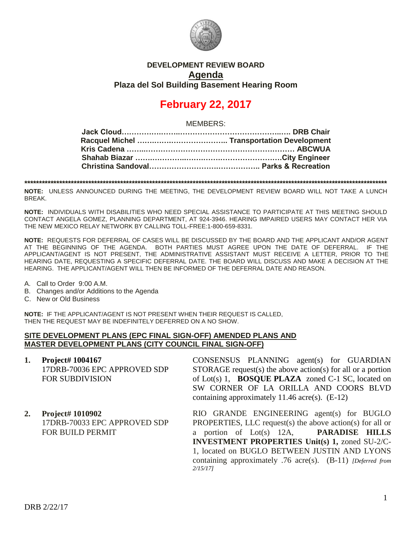

### **DEVELOPMENT REVIEW BOARD Agenda Plaza del Sol Building Basement Hearing Room**

# **February 22, 2017**

MEMBERS:

**\*\*\*\*\*\*\*\*\*\*\*\*\*\*\*\*\*\*\*\*\*\*\*\*\*\*\*\*\*\*\*\*\*\*\*\*\*\*\*\*\*\*\*\*\*\*\*\*\*\*\*\*\*\*\*\*\*\*\*\*\*\*\*\*\*\*\*\*\*\*\*\*\*\*\*\*\*\*\*\*\*\*\*\*\*\*\*\*\*\*\*\*\*\*\*\*\*\*\*\*\*\*\*\*\*\*\*\*\*\*\*\*\*\*\*\*\*\*\*\*\*\*\*\*\***

**NOTE:** UNLESS ANNOUNCED DURING THE MEETING, THE DEVELOPMENT REVIEW BOARD WILL NOT TAKE A LUNCH BREAK.

**NOTE:** INDIVIDUALS WITH DISABILITIES WHO NEED SPECIAL ASSISTANCE TO PARTICIPATE AT THIS MEETING SHOULD CONTACT ANGELA GOMEZ, PLANNING DEPARTMENT, AT 924-3946. HEARING IMPAIRED USERS MAY CONTACT HER VIA THE NEW MEXICO RELAY NETWORK BY CALLING TOLL-FREE:1-800-659-8331.

**NOTE:** REQUESTS FOR DEFERRAL OF CASES WILL BE DISCUSSED BY THE BOARD AND THE APPLICANT AND/OR AGENT AT THE BEGINNING OF THE AGENDA. BOTH PARTIES MUST AGREE UPON THE DATE OF DEFERRAL. IF THE APPLICANT/AGENT IS NOT PRESENT, THE ADMINISTRATIVE ASSISTANT MUST RECEIVE A LETTER, PRIOR TO THE HEARING DATE, REQUESTING A SPECIFIC DEFERRAL DATE. THE BOARD WILL DISCUSS AND MAKE A DECISION AT THE HEARING. THE APPLICANT/AGENT WILL THEN BE INFORMED OF THE DEFERRAL DATE AND REASON.

A. Call to Order 9:00 A.M.

- B. Changes and/or Additions to the Agenda
- C. New or Old Business

**NOTE:** IF THE APPLICANT/AGENT IS NOT PRESENT WHEN THEIR REQUEST IS CALLED, THEN THE REQUEST MAY BE INDEFINITELY DEFERRED ON A NO SHOW.

#### **SITE DEVELOPMENT PLANS (EPC FINAL SIGN-OFF) AMENDED PLANS AND MASTER DEVELOPMENT PLANS (CITY COUNCIL FINAL SIGN-OFF)**

- **1. Project# 1004167** 17DRB-70036 EPC APPROVED SDP FOR SUBDIVISION
- **2. Project# 1010902** 17DRB-70033 EPC APPROVED SDP FOR BUILD PERMIT

CONSENSUS PLANNING agent(s) for GUARDIAN STORAGE request(s) the above action(s) for all or a portion of Lot(s) 1, **BOSQUE PLAZA** zoned C-1 SC, located on SW CORNER OF LA ORILLA AND COORS BLVD containing approximately 11.46 acre(s). (E-12)

RIO GRANDE ENGINEERING agent(s) for BUGLO PROPERTIES, LLC request(s) the above action(s) for all or a portion of Lot(s) 12A, **PARADISE HILLS INVESTMENT PROPERTIES Unit(s) 1,** zoned SU-2/C-1, located on BUGLO BETWEEN JUSTIN AND LYONS containing approximately .76 acre(s). (B-11) *[Deferred from 2/15/17]*